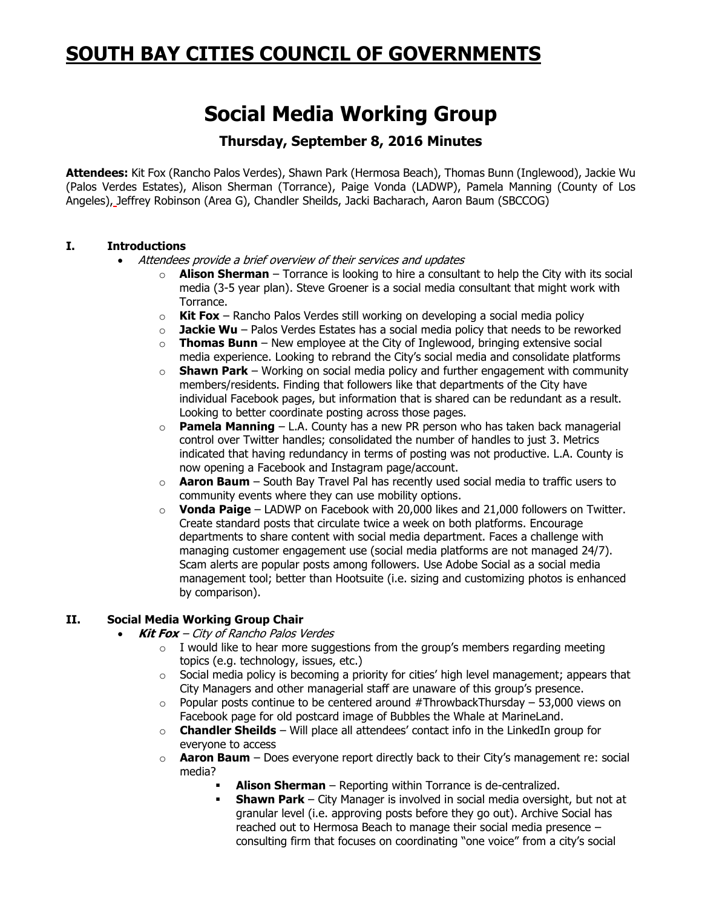## **SOUTH BAY CITIES COUNCIL OF GOVERNMENTS**

# **Social Media Working Group**

### **Thursday, September 8, 2016 Minutes**

**Attendees:** Kit Fox (Rancho Palos Verdes), Shawn Park (Hermosa Beach), Thomas Bunn (Inglewood), Jackie Wu (Palos Verdes Estates), Alison Sherman (Torrance), Paige Vonda (LADWP), Pamela Manning (County of Los Angeles), Jeffrey Robinson (Area G), Chandler Sheilds, Jacki Bacharach, Aaron Baum (SBCCOG)

#### **I. Introductions**

- Attendees provide a brief overview of their services and updates
	- o **Alison Sherman** Torrance is looking to hire a consultant to help the City with its social media (3-5 year plan). Steve Groener is a social media consultant that might work with Torrance.
	- o **Kit Fox** Rancho Palos Verdes still working on developing a social media policy
	- o **Jackie Wu** Palos Verdes Estates has a social media policy that needs to be reworked
	- $\circ$  **Thomas Bunn** New employee at the City of Inglewood, bringing extensive social media experience. Looking to rebrand the City's social media and consolidate platforms
	- o **Shawn Park** Working on social media policy and further engagement with community members/residents. Finding that followers like that departments of the City have individual Facebook pages, but information that is shared can be redundant as a result. Looking to better coordinate posting across those pages.
	- o **Pamela Manning** L.A. County has a new PR person who has taken back managerial control over Twitter handles; consolidated the number of handles to just 3. Metrics indicated that having redundancy in terms of posting was not productive. L.A. County is now opening a Facebook and Instagram page/account.
	- o **Aaron Baum** South Bay Travel Pal has recently used social media to traffic users to community events where they can use mobility options.
	- o **Vonda Paige** LADWP on Facebook with 20,000 likes and 21,000 followers on Twitter. Create standard posts that circulate twice a week on both platforms. Encourage departments to share content with social media department. Faces a challenge with managing customer engagement use (social media platforms are not managed 24/7). Scam alerts are popular posts among followers. Use Adobe Social as a social media management tool; better than Hootsuite (i.e. sizing and customizing photos is enhanced by comparison).

#### **II. Social Media Working Group Chair**

- **Kit Fox** City of Rancho Palos Verdes
	- $\circ$  I would like to hear more suggestions from the group's members regarding meeting topics (e.g. technology, issues, etc.)
	- o Social media policy is becoming a priority for cities' high level management; appears that City Managers and other managerial staff are unaware of this group's presence.
	- $\circ$  Popular posts continue to be centered around #ThrowbackThursday 53,000 views on Facebook page for old postcard image of Bubbles the Whale at MarineLand.
	- o **Chandler Sheilds** Will place all attendees' contact info in the LinkedIn group for everyone to access
	- o **Aaron Baum** Does everyone report directly back to their City's management re: social media?
		- **Alison Sherman** Reporting within Torrance is de-centralized.
			- **Shawn Park** City Manager is involved in social media oversight, but not at granular level (i.e. approving posts before they go out). Archive Social has reached out to Hermosa Beach to manage their social media presence – consulting firm that focuses on coordinating "one voice" from a city's social